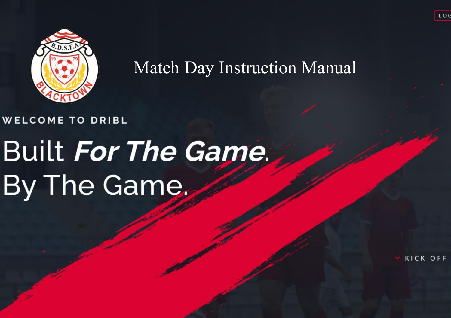

Match Day Instruction Manual

### **WELCOME TO DRIBL**

# **Built For The Game.** By The Game.

KICK OFF

LOC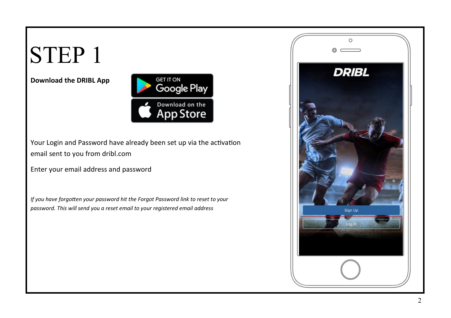#### **Download the DRIBL App**



Your Login and Password have already been set up via the activation email sent to you from dribl.com

Enter your email address and password

*If you have forgotten your password hit the Forgot Password link to reset to your password. This will send you a reset email to your registered email address*

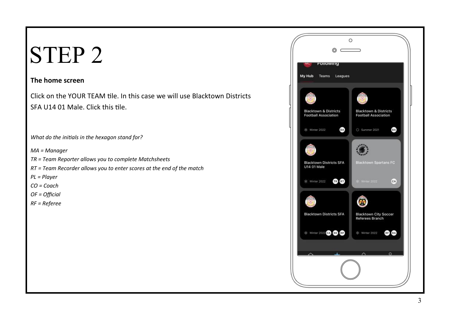#### **The home screen**

Click on the YOUR TEAM tile. In this case we will use Blacktown Districts SFA U14 01 Male. Click this tile.

*What do the initials in the hexagon stand for?*

*MA = Manager*

*TR = Team Reporter allows you to complete Matchsheets*

*RT = Team Recorder allows you to enter scores at the end of the match*

*PL = Player*

*CO = Coach*

*OF = Official*

*RF = Referee*

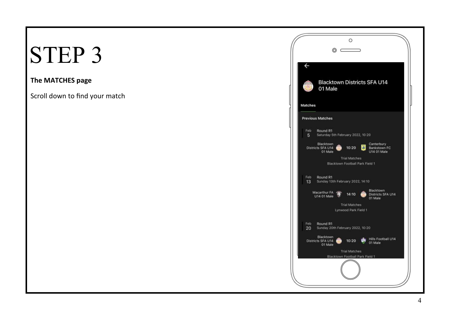#### **The MATCHES page**

Scroll down to find your match

|                         | Ο<br>$\circ$ $\subset$                                                                                                      |
|-------------------------|-----------------------------------------------------------------------------------------------------------------------------|
| $\leftarrow$<br>Matches | <b>Blacktown Districts SFA U14</b><br>01 Male                                                                               |
|                         | <b>Previous Matches</b>                                                                                                     |
| Feb:<br>5               | Round R1<br>Saturday 5th February 2022, 10:20                                                                               |
|                         | Blacktown<br>Canterbury<br>Districts SFA U14<br>10:20<br><b>Jak</b><br><b>Bankstown FC</b><br>01 Male<br><b>U14 01 Male</b> |
|                         | <b>Trial Matches</b><br>Blacktown Football Park Field 1                                                                     |
| Feb<br>13               | Round R1<br>Sunday 13th February 2022, 14:10                                                                                |
|                         | Blacktown<br>Macarthur FA<br>14:10<br>Districts SFA U14<br>U14 01 Male<br>01 Male                                           |
|                         | <b>Trial Matches</b><br>Lynwood Park Field 1                                                                                |
| Feb<br>20               | Round R1<br>Sunday 20th February 2022, 10:20                                                                                |
|                         | Blacktown<br>Hills Football U14<br>Districts SFA U14<br>10:20<br>01 Male<br>01 Male                                         |
|                         | <b>Trial Matches</b><br>Blacktown Football Park Field 1                                                                     |
|                         |                                                                                                                             |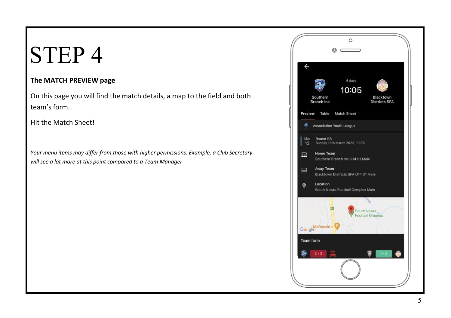#### **The MATCH PREVIEW page**

On this page you will find the match details, a map to the field and both team's form.

Hit the Match Sheet!

*Your menu items may differ from those with higher permissions. Example, a Club Secretary will see a lot more at this point compared to a Team Manager*

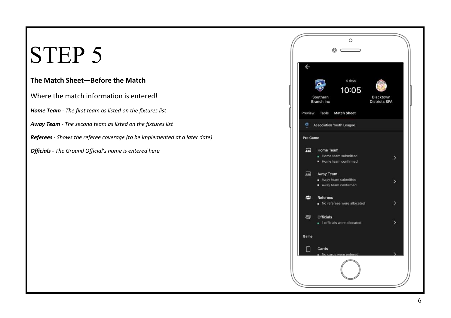### STEP<sub>5</sub>

#### **The Match Sheet—Before the Match**

Where the match information is entered!

*Home Team - The first team as listed on the fixtures list*

*Away Team - The second team as listed on the fixtures list*

*Referees - Shows the referee coverage (to be implemented at a later date)*

*Officials - The Ground Official's name is entered here*

|                         | O<br>$\circ$ $\,$                                       |                                   |
|-------------------------|---------------------------------------------------------|-----------------------------------|
| $\overline{\leftarrow}$ | 4 days<br>10:05<br>Southern<br><b>Branch Inc</b>        | Blacktown<br><b>Districts SFA</b> |
| Preview<br>图            | <b>Match Sheet</b><br>Table                             |                                   |
|                         | Association Youth League                                |                                   |
| Pre Game                |                                                         |                                   |
| 显                       | Home Team<br>Home team submitted<br>Home team confirmed | ⋋                                 |
| 赑                       | Away Team<br>Away team submitted<br>Away team confirmed | $\geq$                            |
| per                     | <b>Referees</b><br>No referees were allocated           | $\mathcal{P}$                     |
| <b>29°</b>              | <b>Officials</b><br>1 officials were allocated          | >                                 |
| Game                    |                                                         |                                   |
| H                       | Cards<br>No cards were entered                          |                                   |
|                         |                                                         |                                   |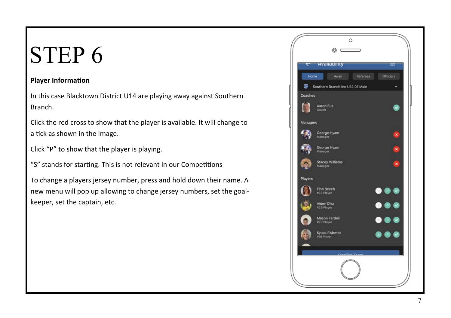#### **Player Information**

In this case Blacktown District U14 are playing away against Southern Branch.

Click the red cross to show that the player is available. It will change to a tick as shown in the image.

Click "P" to show that the player is playing.

"S" stands for starting. This is not relevant in our Competitions

To change a players jersey number, press and hold down their name. A new menu will pop up allowing to change jersey numbers, set the goalkeeper, set the captain, etc.

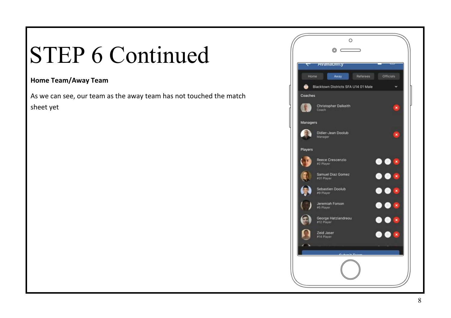### STEP 6 Continued

#### **Home Team/Away Team**

As we can see, our team as the away team has not touched the match sheet yet

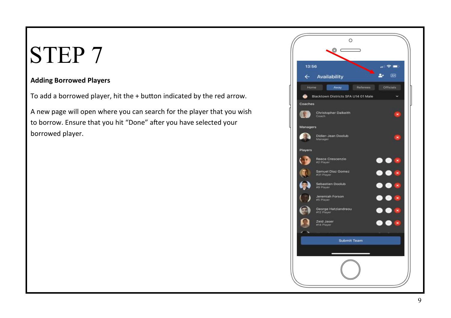#### **Adding Borrowed Players**

To add a borrowed player, hit the + button indicated by the red arrow.

A new page will open where you can search for the player that you wish to borrow. Ensure that you hit "Done" after you have selected your borrowed player.

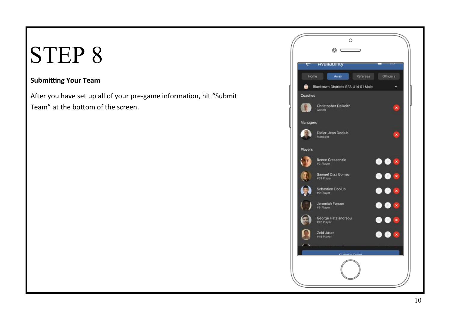#### **Submitting Your Team**

After you have set up all of your pre-game information, hit "Submit Team" at the bottom of the screen.

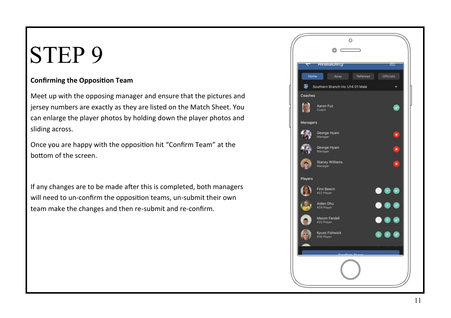#### **Confirming the Opposition Team**

Meet up with the opposing manager and ensure that the pictures and jersey numbers are exactly as they are listed on the Match Sheet. You can enlarge the player photos by holding down the player photos and sliding across.

Once you are happy with the opposition hit "Confirm Team" at the bottom of the screen.

If any changes are to be made after this is completed, both managers will need to un-confirm the opposition teams, un-submit their own team make the changes and then re-submit and re-confirm.

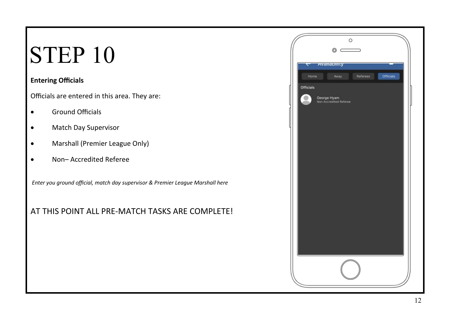#### **Entering Officials**

Officials are entered in this area. They are:

- Ground Officials
- Match Day Supervisor
- Marshall (Premier League Only)
- Non– Accredited Referee

*Enter you ground official, match day supervisor & Premier League Marshall here*

### AT THIS POINT ALL PRE-MATCH TASKS ARE COMPLETE!